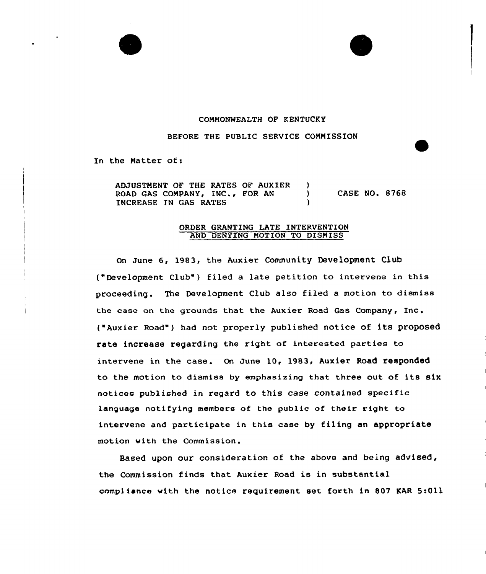## COMMONWEALTH OF KENTUCKY

BEFORE THE PUBLIC SERVICE COMMISSION

In the Natter of:

ADJUSTMENT OF THE RATES OF AUXIER )<br>ROAD GAS COMPANY, INC., FOR AN ROAD GAS COMPANY, INC., FOR AN )<br>INCREASE IN GAS RATES INCREASE IN GAS RATES CASE NO. 8768

## ORDER GRANTING LATE INTERVENTION AND DENYING NOTION TO DISMISS

On June 6, 1983, the Auxier Community Development Club ("Development Club" ) filed <sup>a</sup> late petition to intervene in this proceeding. The Development Club also filed a motion to dismiss the case on the grounds that the Auxier Road Gas Company, Inc. ("Auxier Road" ) had not properly published notice of its proposed rate increase regarding the right of interested parties to intervene in the case. On June 10, 1983, Auxier Road responded to the motion to dismiss by emphasizing that three out of its six notices published in regard to this case contained specific language notifying members of the public of their right to intervene and participate in this case by filing an appropriate motion with the Commission.

Based upon our consideration of the above and being advised, the Commission finds that Auxier Road is in substantial compliance with the notice requirement set forth in 807 KAR 5:011